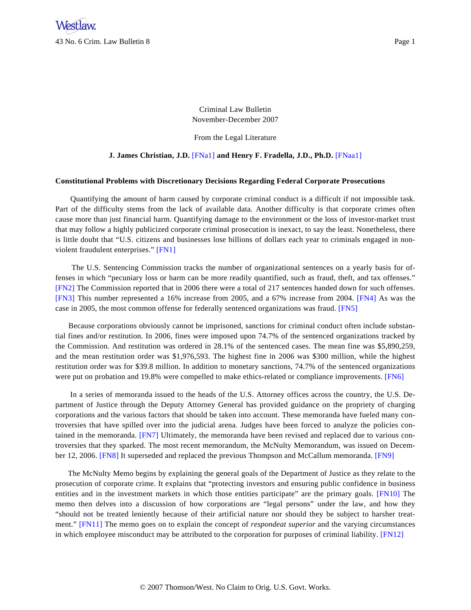Criminal Law Bulletin November-December 2007

From the Legal Literature

## **J. James Christian, J.D.** [\[FNa1\]](#page-7-0) **and Henry F. Fradella, J.D., Ph.D.** [\[FNaa1\]](#page-7-1)

#### <span id="page-0-0"></span>**Constitutional Problems with Discretionary Decisions Regarding Federal Corporate Prosecutions**

Quantifying the amount of harm caused by corporate criminal conduct is a difficult if not impossible task. Part of the difficulty stems from the lack of available data. Another difficulty is that corporate crimes often cause more than just financial harm. Quantifying damage to the environment or the loss of investor-market trust that may follow a highly publicized corporate criminal prosecution is inexact, to say the least. Nonetheless, there is little doubt that "U.S. citizens and businesses lose billions of dollars each year to criminals engaged in nonviolent fraudulent enterprises." [\[FN1\]](#page-7-2)

<span id="page-0-3"></span><span id="page-0-2"></span><span id="page-0-1"></span>The U.S. Sentencing Commission tracks the number of organizational sentences on a yearly basis for offenses in which "pecuniary loss or harm can be more readily quantified, such as fraud, theft, and tax offenses." [\[FN2\]](#page-7-3) The Commission reported that in 2006 there were a total of 217 sentences handed down for such offenses. [\[FN3\]](#page-7-4) This number represented a 16% increase from 2005, and a 67% increase from 2004. [\[FN4\]](#page-8-0) As was the case in 2005, the most common offense for federally sentenced organizations was fraud. [\[FN5\]](#page-8-1)

<span id="page-0-4"></span>Because corporations obviously cannot be imprisoned, sanctions for criminal conduct often include substantial fines and/or restitution. In 2006, fines were imposed upon 74.7% of the sentenced organizations tracked by the Commission. And restitution was ordered in 28.1% of the sentenced cases. The mean fine was \$5,890,259, and the mean restitution order was \$1,976,593. The highest fine in 2006 was \$300 million, while the highest restitution order was for \$39.8 million. In addition to monetary sanctions, 74.7% of the sentenced organizations were put on probation and 19.8% were compelled to make ethics-related or compliance improvements. [\[FN6\]](#page-8-2)

<span id="page-0-6"></span><span id="page-0-5"></span>In a series of memoranda issued to the heads of the U.S. Attorney offices across the country, the U.S. Department of Justice through the Deputy Attorney General has provided guidance on the propriety of charging corporations and the various factors that should be taken into account. These memoranda have fueled many controversies that have spilled over into the judicial arena. Judges have been forced to analyze the policies contained in the memoranda. [\[FN7\]](#page-8-3) Ultimately, the memoranda have been revised and replaced due to various controversies that they sparked. The most recent memorandum, the McNulty Memorandum, was issued on December 12, 2006. [\[FN8\]](#page-8-4) It superseded and replaced the previous Thompson and McCallum memoranda. [\[FN9\]](#page-8-5)

<span id="page-0-10"></span><span id="page-0-9"></span><span id="page-0-8"></span><span id="page-0-7"></span>The McNulty Memo begins by explaining the general goals of the Department of Justice as they relate to the prosecution of corporate crime. It explains that "protecting investors and ensuring public confidence in business entities and in the investment markets in which those entities participate" are the primary goals. [\[FN10\]](#page-8-6) The memo then delves into a discussion of how corporations are "legal persons" under the law, and how they "should not be treated leniently because of their artificial nature nor should they be subject to harsher treatment." [\[FN11\]](#page-8-7) The memo goes on to explain the concept of *respondeat superior* and the varying circumstances in which employee misconduct may be attributed to the corporation for purposes of criminal liability. [\[FN12\]](#page-8-8)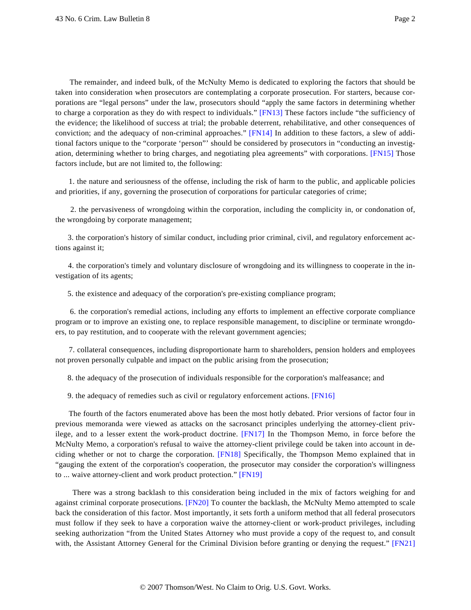<span id="page-1-1"></span><span id="page-1-0"></span>The remainder, and indeed bulk, of the McNulty Memo is dedicated to exploring the factors that should be taken into consideration when prosecutors are contemplating a corporate prosecution. For starters, because corporations are "legal persons" under the law, prosecutors should "apply the same factors in determining whether to charge a corporation as they do with respect to individuals." [\[FN13\]](#page-8-9) These factors include "the sufficiency of the evidence; the likelihood of success at trial; the probable deterrent, rehabilitative, and other consequences of conviction; and the adequacy of non-criminal approaches." [\[FN14\]](#page-8-10) In addition to these factors, a slew of additional factors unique to the "corporate 'person"' should be considered by prosecutors in "conducting an investigation, determining whether to bring charges, and negotiating plea agreements" with corporations. [\[FN15\]](#page-8-11) Those factors include, but are not limited to, the following:

<span id="page-1-2"></span>1. the nature and seriousness of the offense, including the risk of harm to the public, and applicable policies and priorities, if any, governing the prosecution of corporations for particular categories of crime;

2. the pervasiveness of wrongdoing within the corporation, including the complicity in, or condonation of, the wrongdoing by corporate management;

3. the corporation's history of similar conduct, including prior criminal, civil, and regulatory enforcement actions against it;

4. the corporation's timely and voluntary disclosure of wrongdoing and its willingness to cooperate in the investigation of its agents;

5. the existence and adequacy of the corporation's pre-existing compliance program;

6. the corporation's remedial actions, including any efforts to implement an effective corporate compliance program or to improve an existing one, to replace responsible management, to discipline or terminate wrongdoers, to pay restitution, and to cooperate with the relevant government agencies;

7. collateral consequences, including disproportionate harm to shareholders, pension holders and employees not proven personally culpable and impact on the public arising from the prosecution;

8. the adequacy of the prosecution of individuals responsible for the corporation's malfeasance; and

<span id="page-1-3"></span>9. the adequacy of remedies such as civil or regulatory enforcement actions. [\[FN16\]](#page-8-12)

<span id="page-1-5"></span><span id="page-1-4"></span>The fourth of the factors enumerated above has been the most hotly debated. Prior versions of factor four in previous memoranda were viewed as attacks on the sacrosanct principles underlying the attorney-client privilege, and to a lesser extent the work-product doctrine. [\[FN17\]](#page-8-13) In the Thompson Memo, in force before the McNulty Memo, a corporation's refusal to waive the attorney-client privilege could be taken into account in deciding whether or not to charge the corporation. [\[FN18\]](#page-8-14) Specifically, the Thompson Memo explained that in "gauging the extent of the corporation's cooperation, the prosecutor may consider the corporation's willingness to ... waive attorney-client and work product protection." [\[FN19\]](#page-9-0)

<span id="page-1-8"></span><span id="page-1-7"></span><span id="page-1-6"></span>There was a strong backlash to this consideration being included in the mix of factors weighing for and against criminal corporate prosecutions. [\[FN20\]](#page-9-1) To counter the backlash, the McNulty Memo attempted to scale back the consideration of this factor. Most importantly, it sets forth a uniform method that all federal prosecutors must follow if they seek to have a corporation waive the attorney-client or work-product privileges, including seeking authorization "from the United States Attorney who must provide a copy of the request to, and consult with, the Assistant Attorney General for the Criminal Division before granting or denying the request." [\[FN21\]](#page-9-2)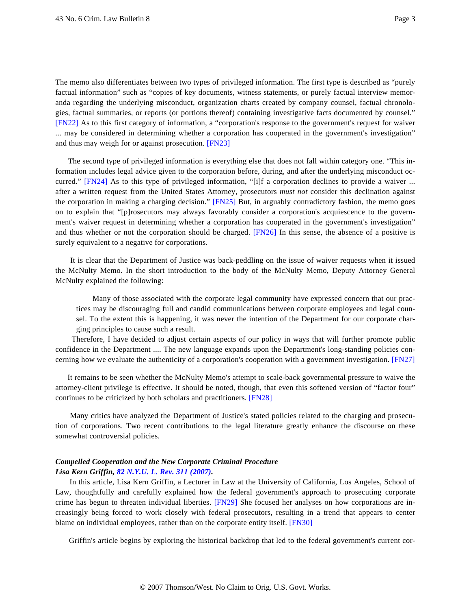<span id="page-2-0"></span>The memo also differentiates between two types of privileged information. The first type is described as "purely factual information" such as "copies of key documents, witness statements, or purely factual interview memoranda regarding the underlying misconduct, organization charts created by company counsel, factual chronologies, factual summaries, or reports (or portions thereof) containing investigative facts documented by counsel." [\[FN22\]](#page-9-3) As to this first category of information, a "corporation's response to the government's request for waiver ... may be considered in determining whether a corporation has cooperated in the government's investigation" and thus may weigh for or against prosecution. [\[FN23\]](#page-9-4)

<span id="page-2-3"></span><span id="page-2-2"></span><span id="page-2-1"></span>The second type of privileged information is everything else that does not fall within category one. "This information includes legal advice given to the corporation before, during, and after the underlying misconduct occurred." [\[FN24\]](#page-9-5) As to this type of privileged information, "[i]f a corporation declines to provide a waiver ... after a written request from the United States Attorney, prosecutors *must not* consider this declination against the corporation in making a charging decision." [\[FN25\]](#page-9-6) But, in arguably contradictory fashion, the memo goes on to explain that "[p]rosecutors may always favorably consider a corporation's acquiescence to the government's waiver request in determining whether a corporation has cooperated in the government's investigation" and thus whether or not the corporation should be charged. [\[FN26\]](#page-9-7) In this sense, the absence of a positive is surely equivalent to a negative for corporations.

<span id="page-2-4"></span>It is clear that the Department of Justice was back-peddling on the issue of waiver requests when it issued the McNulty Memo. In the short introduction to the body of the McNulty Memo, Deputy Attorney General McNulty explained the following:

Many of those associated with the corporate legal community have expressed concern that our practices may be discouraging full and candid communications between corporate employees and legal counsel. To the extent this is happening, it was never the intention of the Department for our corporate charging principles to cause such a result.

<span id="page-2-5"></span>Therefore, I have decided to adjust certain aspects of our policy in ways that will further promote public confidence in the Department .... The new language expands upon the Department's long-standing policies concerning how we evaluate the authenticity of a corporation's cooperation with a government investigation. [\[FN27\]](#page-9-8)

<span id="page-2-6"></span>It remains to be seen whether the McNulty Memo's attempt to scale-back governmental pressure to waive the attorney-client privilege is effective. It should be noted, though, that even this softened version of "factor four" continues to be criticized by both scholars and practitioners. [\[FN28\]](#page-9-9)

Many critics have analyzed the Department of Justice's stated policies related to the charging and prosecution of corporations. Two recent contributions to the legal literature greatly enhance the discourse on these somewhat controversial policies.

# *Compelled Cooperation and the New Corporate Criminal Procedure Lisa Kern Griffin, [82 N.Y.U. L. Rev. 311 \(2007\)](http://www.westlaw.com/Find/Default.wl?rs=dfa1.0&vr=2.0&DB=1206&FindType=Y&SerialNum=0331488956).*

<span id="page-2-7"></span>In this article, Lisa Kern Griffin, a Lecturer in Law at the University of California, Los Angeles, School of Law, thoughtfully and carefully explained how the federal government's approach to prosecuting corporate crime has begun to threaten individual liberties. [\[FN29\]](#page-9-10) She focused her analyses on how corporations are increasingly being forced to work closely with federal prosecutors, resulting in a trend that appears to center blame on individual employees, rather than on the corporate entity itself. [\[FN30\]](#page-9-11)

<span id="page-2-8"></span>Griffin's article begins by exploring the historical backdrop that led to the federal government's current cor-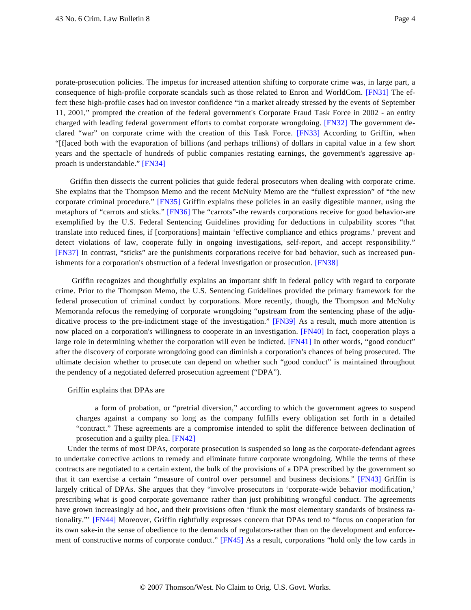<span id="page-3-2"></span><span id="page-3-1"></span><span id="page-3-0"></span>porate-prosecution policies. The impetus for increased attention shifting to corporate crime was, in large part, a consequence of high-profile corporate scandals such as those related to Enron and WorldCom. [\[FN31\]](#page-9-12) The effect these high-profile cases had on investor confidence "in a market already stressed by the events of September 11, 2001," prompted the creation of the federal government's Corporate Fraud Task Force in 2002 - an entity charged with leading federal government efforts to combat corporate wrongdoing. [\[FN32\]](#page-10-0) The government declared "war" on corporate crime with the creation of this Task Force. [\[FN33\]](#page-10-1) According to Griffin, when "[f]aced both with the evaporation of billions (and perhaps trillions) of dollars in capital value in a few short years and the spectacle of hundreds of public companies restating earnings, the government's aggressive approach is understandable." [\[FN34\]](#page-10-2)

<span id="page-3-5"></span><span id="page-3-4"></span><span id="page-3-3"></span>Griffin then dissects the current policies that guide federal prosecutors when dealing with corporate crime. She explains that the Thompson Memo and the recent McNulty Memo are the "fullest expression" of "the new corporate criminal procedure." [\[FN35\]](#page-10-3) Griffin explains these policies in an easily digestible manner, using the metaphors of "carrots and sticks." [\[FN36\]](#page-10-4) The "carrots"-the rewards corporations receive for good behavior-are exemplified by the U.S. Federal Sentencing Guidelines providing for deductions in culpability scores "that translate into reduced fines, if [corporations] maintain 'effective compliance and ethics programs.' prevent and detect violations of law, cooperate fully in ongoing investigations, self-report, and accept responsibility." [\[FN37\]](#page-10-5) In contrast, "sticks" are the punishments corporations receive for bad behavior, such as increased punishments for a corporation's obstruction of a federal investigation or prosecution. [\[FN38\]](#page-10-6)

<span id="page-3-9"></span><span id="page-3-8"></span><span id="page-3-7"></span><span id="page-3-6"></span>Griffin recognizes and thoughtfully explains an important shift in federal policy with regard to corporate crime. Prior to the Thompson Memo, the U.S. Sentencing Guidelines provided the primary framework for the federal prosecution of criminal conduct by corporations. More recently, though, the Thompson and McNulty Memoranda refocus the remedying of corporate wrongdoing "upstream from the sentencing phase of the adjudicative process to the pre-indictment stage of the investigation." [\[FN39\]](#page-10-7) As a result, much more attention is now placed on a corporation's willingness to cooperate in an investigation. [\[FN40\]](#page-10-8) In fact, cooperation plays a large role in determining whether the corporation will even be indicted. [\[FN41\]](#page-10-9) In other words, "good conduct" after the discovery of corporate wrongdoing good can diminish a corporation's chances of being prosecuted. The ultimate decision whether to prosecute can depend on whether such "good conduct" is maintained throughout the pendency of a negotiated deferred prosecution agreement ("DPA").

#### <span id="page-3-10"></span>Griffin explains that DPAs are

a form of probation, or "pretrial diversion," according to which the government agrees to suspend charges against a company so long as the company fulfills every obligation set forth in a detailed "contract." These agreements are a compromise intended to split the difference between declination of prosecution and a guilty plea. [\[FN42\]](#page-10-10)

<span id="page-3-14"></span><span id="page-3-13"></span><span id="page-3-12"></span><span id="page-3-11"></span>Under the terms of most DPAs, corporate prosecution is suspended so long as the corporate-defendant agrees to undertake corrective actions to remedy and eliminate future corporate wrongdoing. While the terms of these contracts are negotiated to a certain extent, the bulk of the provisions of a DPA prescribed by the government so that it can exercise a certain "measure of control over personnel and business decisions." [\[FN43\]](#page-10-11) Griffin is largely critical of DPAs. She argues that they "involve prosecutors in 'corporate-wide behavior modification,' prescribing what is good corporate governance rather than just prohibiting wrongful conduct. The agreements have grown increasingly ad hoc, and their provisions often 'flunk the most elementary standards of business rationality."' [\[FN44\]](#page-10-12) Moreover, Griffin rightfully expresses concern that DPAs tend to "focus on cooperation for its own sake-in the sense of obedience to the demands of regulators-rather than on the development and enforcement of constructive norms of corporate conduct." [\[FN45\]](#page-10-13) As a result, corporations "hold only the low cards in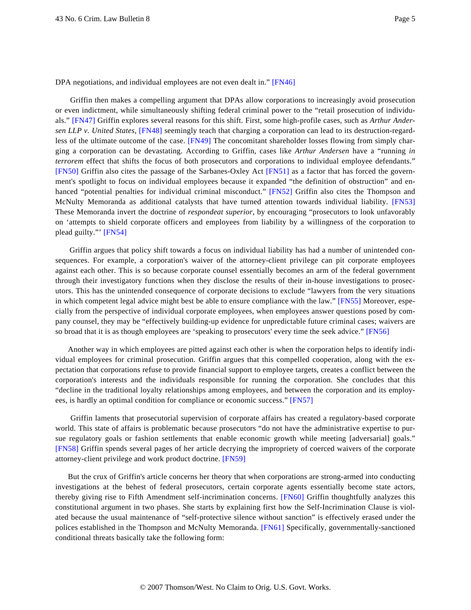<span id="page-4-0"></span>DPA negotiations, and individual employees are not even dealt in." [\[FN46\]](#page-10-14)

<span id="page-4-4"></span><span id="page-4-3"></span><span id="page-4-2"></span><span id="page-4-1"></span>Griffin then makes a compelling argument that DPAs allow corporations to increasingly avoid prosecution or even indictment, while simultaneously shifting federal criminal power to the "retail prosecution of individuals." [\[FN47\]](#page-10-15) Griffin explores several reasons for this shift. First, some high-profile cases, such as *Arthur Andersen LLP v. United States*, [\[FN48\]](#page-10-16) seemingly teach that charging a corporation can lead to its destruction-regardless of the ultimate outcome of the case. [\[FN49\]](#page-10-17) The concomitant shareholder losses flowing from simply charging a corporation can be devastating. According to Griffin, cases like *Arthur Andersen* have a "running *in terrorem* effect that shifts the focus of both prosecutors and corporations to individual employee defendants." [\[FN50\]](#page-10-18) Griffin also cites the passage of the Sarbanes-Oxley Act [\[FN51\]](#page-10-19) as a factor that has forced the government's spotlight to focus on individual employees because it expanded "the definition of obstruction" and en-hanced "potential penalties for individual criminal misconduct." [\[FN52\]](#page-10-20) Griffin also cites the Thompson and McNulty Memoranda as additional catalysts that have turned attention towards individual liability. [\[FN53\]](#page-10-21) These Memoranda invert the doctrine of *respondeat superior*, by encouraging "prosecutors to look unfavorably on 'attempts to shield corporate officers and employees from liability by a willingness of the corporation to plead guilty."' [\[FN54\]](#page-10-22)

<span id="page-4-8"></span><span id="page-4-7"></span><span id="page-4-6"></span><span id="page-4-5"></span>Griffin argues that policy shift towards a focus on individual liability has had a number of unintended consequences. For example, a corporation's waiver of the attorney-client privilege can pit corporate employees against each other. This is so because corporate counsel essentially becomes an arm of the federal government through their investigatory functions when they disclose the results of their in-house investigations to prosecutors. This has the unintended consequence of corporate decisions to exclude "lawyers from the very situations in which competent legal advice might best be able to ensure compliance with the law." [\[FN55\]](#page-10-23) Moreover, especially from the perspective of individual corporate employees, when employees answer questions posed by company counsel, they may be "effectively building-up evidence for unpredictable future criminal cases; waivers are so broad that it is as though employees are 'speaking to prosecutors' every time the seek advice." [\[FN56\]](#page-10-24)

<span id="page-4-9"></span>Another way in which employees are pitted against each other is when the corporation helps to identify individual employees for criminal prosecution. Griffin argues that this compelled cooperation, along with the expectation that corporations refuse to provide financial support to employee targets, creates a conflict between the corporation's interests and the individuals responsible for running the corporation. She concludes that this "decline in the traditional loyalty relationships among employees, and between the corporation and its employees, is hardly an optimal condition for compliance or economic success." [\[FN57\]](#page-11-0)

<span id="page-4-11"></span><span id="page-4-10"></span>Griffin laments that prosecutorial supervision of corporate affairs has created a regulatory-based corporate world. This state of affairs is problematic because prosecutors "do not have the administrative expertise to pursue regulatory goals or fashion settlements that enable economic growth while meeting [adversarial] goals." [\[FN58\]](#page-11-1) Griffin spends several pages of her article decrying the impropriety of coerced waivers of the corporate attorney-client privilege and work product doctrine. [\[FN59\]](#page-11-2)

<span id="page-4-14"></span><span id="page-4-13"></span><span id="page-4-12"></span>But the crux of Griffin's article concerns her theory that when corporations are strong-armed into conducting investigations at the behest of federal prosecutors, certain corporate agents essentially become state actors, thereby giving rise to Fifth Amendment self-incrimination concerns. [\[FN60\]](#page-11-3) Griffin thoughtfully analyzes this constitutional argument in two phases. She starts by explaining first how the Self-Incrimination Clause is violated because the usual maintenance of "self-protective silence without sanction" is effectively erased under the polices established in the Thompson and McNulty Memoranda. [\[FN61\]](#page-11-4) Specifically, governmentally-sanctioned conditional threats basically take the following form: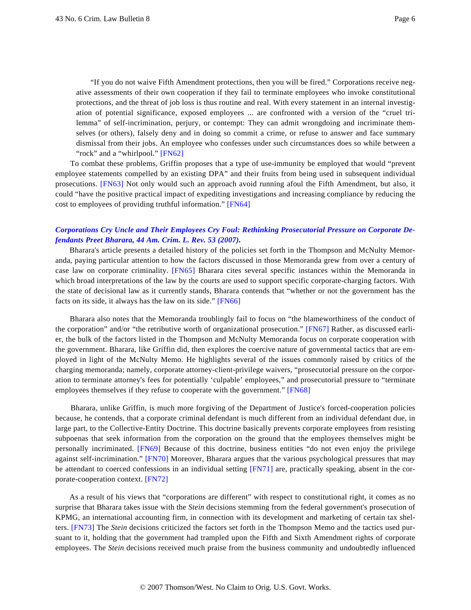"If you do not waive Fifth Amendment protections, then you will be fired." Corporations receive negative assessments of their own cooperation if they fail to terminate employees who invoke constitutional protections, and the threat of job loss is thus routine and real. With every statement in an internal investigation of potential significance, exposed employees ... are confronted with a version of the "cruel trilemma" of self-incrimination, perjury, or contempt: They can admit wrongdoing and incriminate themselves (or others), falsely deny and in doing so commit a crime, or refuse to answer and face summary dismissal from their jobs. An employee who confesses under such circumstances does so while between a "rock" and a "whirlpool." [\[FN62\]](#page-11-5)

<span id="page-5-1"></span><span id="page-5-0"></span>To combat these problems, Griffin proposes that a type of use-immunity be employed that would "prevent employee statements compelled by an existing DPA" and their fruits from being used in subsequent individual prosecutions. [\[FN63\]](#page-11-6) Not only would such an approach avoid running afoul the Fifth Amendment, but also, it could "have the positive practical impact of expediting investigations and increasing compliance by reducing the cost to employees of providing truthful information." [\[FN64\]](#page-11-7)

## <span id="page-5-2"></span>*[Corporations Cry Uncle and Their Employees Cry Foul: Rethinking Prosecutorial Pressure on Corporate De](http://www.westlaw.com/Find/Default.wl?rs=dfa1.0&vr=2.0&DB=1086&FindType=Y&SerialNum=0331527950)[fendants Preet Bharara, 44 Am. Crim. L. Rev. 53 \(2007\)](http://www.westlaw.com/Find/Default.wl?rs=dfa1.0&vr=2.0&DB=1086&FindType=Y&SerialNum=0331527950).*

<span id="page-5-3"></span>Bharara's article presents a detailed history of the policies set forth in the Thompson and McNulty Memoranda, paying particular attention to how the factors discussed in those Memoranda grew from over a century of case law on corporate criminality. [\[FN65\]](#page-11-8) Bharara cites several specific instances within the Memoranda in which broad interpretations of the law by the courts are used to support specific corporate-charging factors. With the state of decisional law as it currently stands, Bharara contends that "whether or not the government has the facts on its side, it always has the law on its side." [\[FN66\]](#page-11-9)

<span id="page-5-5"></span><span id="page-5-4"></span>Bharara also notes that the Memoranda troublingly fail to focus on "the blameworthiness of the conduct of the corporation" and/or "the retributive worth of organizational prosecution." [\[FN67\]](#page-11-10) Rather, as discussed earlier, the bulk of the factors listed in the Thompson and McNulty Memoranda focus on corporate cooperation with the government. Bharara, like Griffin did, then explores the coercive nature of governmental tactics that are employed in light of the McNulty Memo. He highlights several of the issues commonly raised by critics of the charging memoranda; namely, corporate attorney-client-privilege waivers, "prosecutorial pressure on the corporation to terminate attorney's fees for potentially 'culpable' employees," and prosecutorial pressure to "terminate employees themselves if they refuse to cooperate with the government." [\[FN68\]](#page-11-11)

<span id="page-5-7"></span><span id="page-5-6"></span>Bharara, unlike Griffin, is much more forgiving of the Department of Justice's forced-cooperation policies because, he contends, that a corporate criminal defendant is much different from an individual defendant due, in large part, to the Collective-Entity Doctrine. This doctrine basically prevents corporate employees from resisting subpoenas that seek information from the corporation on the ground that the employees themselves might be personally incriminated. [\[FN69\]](#page-11-12) Because of this doctrine, business entities "do not even enjoy the privilege against self-incrimination." [\[FN70\]](#page-11-13) Moreover, Bharara argues that the various psychological pressures that may be attendant to coerced confessions in an individual setting [\[FN71\]](#page-11-14) are, practically speaking, absent in the corporate-cooperation context. [\[FN72\]](#page-11-15)

<span id="page-5-11"></span><span id="page-5-10"></span><span id="page-5-9"></span><span id="page-5-8"></span>As a result of his views that "corporations are different" with respect to constitutional right, it comes as no surprise that Bharara takes issue with the *Stein* decisions stemming from the federal government's prosecution of KPMG, an international accounting firm, in connection with its development and marketing of certain tax shelters. [\[FN73\]](#page-11-16) The *Stein* decisions criticized the factors set forth in the Thompson Memo and the tactics used pursuant to it, holding that the government had trampled upon the Fifth and Sixth Amendment rights of corporate employees. The *Stein* decisions received much praise from the business community and undoubtedly influenced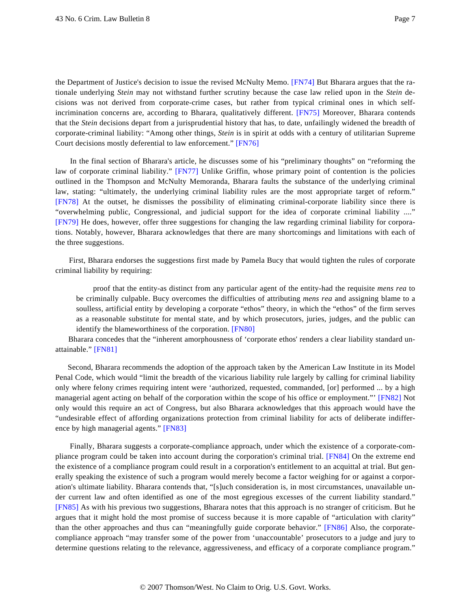<span id="page-6-1"></span><span id="page-6-0"></span>the Department of Justice's decision to issue the revised McNulty Memo. [\[FN74\]](#page-11-17) But Bharara argues that the rationale underlying *Stein* may not withstand further scrutiny because the case law relied upon in the *Stein* decisions was not derived from corporate-crime cases, but rather from typical criminal ones in which self-incrimination concerns are, according to Bharara, qualitatively different. [\[FN75\]](#page-11-18) Moreover, Bharara contends that the *Stein* decisions depart from a jurisprudential history that has, to date, unfailingly widened the breadth of corporate-criminal liability: "Among other things, *Stein* is in spirit at odds with a century of utilitarian Supreme Court decisions mostly deferential to law enforcement." [\[FN76\]](#page-11-19)

<span id="page-6-4"></span><span id="page-6-3"></span><span id="page-6-2"></span>In the final section of Bharara's article, he discusses some of his "preliminary thoughts" on "reforming the law of corporate criminal liability." [\[FN77\]](#page-11-20) Unlike Griffin, whose primary point of contention is the policies outlined in the Thompson and McNulty Memoranda, Bharara faults the substance of the underlying criminal law, stating: "ultimately, the underlying criminal liability rules are the most appropriate target of reform." [\[FN78\]](#page-11-21) At the outset, he dismisses the possibility of eliminating criminal-corporate liability since there is "overwhelming public, Congressional, and judicial support for the idea of corporate criminal liability ...." [\[FN79\]](#page-11-22) He does, however, offer three suggestions for changing the law regarding criminal liability for corporations. Notably, however, Bharara acknowledges that there are many shortcomings and limitations with each of the three suggestions.

<span id="page-6-5"></span>First, Bharara endorses the suggestions first made by Pamela Bucy that would tighten the rules of corporate criminal liability by requiring:

proof that the entity-as distinct from any particular agent of the entity-had the requisite *mens rea* to be criminally culpable. Bucy overcomes the difficulties of attributing *mens rea* and assigning blame to a soulless, artificial entity by developing a corporate "ethos" theory, in which the "ethos" of the firm serves as a reasonable substitute for mental state, and by which prosecutors, juries, judges, and the public can identify the blameworthiness of the corporation. [\[FN80\]](#page-11-23)

<span id="page-6-7"></span><span id="page-6-6"></span>Bharara concedes that the "inherent amorphousness of 'corporate ethos' renders a clear liability standard unattainable." [\[FN81\]](#page-12-0)

<span id="page-6-8"></span>Second, Bharara recommends the adoption of the approach taken by the American Law Institute in its Model Penal Code, which would "limit the breadth of the vicarious liability rule largely by calling for criminal liability only where felony crimes requiring intent were 'authorized, requested, commanded, [or] performed ... by a high managerial agent acting on behalf of the corporation within the scope of his office or employment."' [\[FN82\]](#page-12-1) Not only would this require an act of Congress, but also Bharara acknowledges that this approach would have the "undesirable effect of affording organizations protection from criminal liability for acts of deliberate indifference by high managerial agents." [\[FN83\]](#page-12-2)

<span id="page-6-12"></span><span id="page-6-11"></span><span id="page-6-10"></span><span id="page-6-9"></span>Finally, Bharara suggests a corporate-compliance approach, under which the existence of a corporate-compliance program could be taken into account during the corporation's criminal trial. [\[FN84\]](#page-12-3) On the extreme end the existence of a compliance program could result in a corporation's entitlement to an acquittal at trial. But generally speaking the existence of such a program would merely become a factor weighing for or against a corporation's ultimate liability. Bharara contends that, "[s]uch consideration is, in most circumstances, unavailable under current law and often identified as one of the most egregious excesses of the current liability standard." [\[FN85\]](#page-12-4) As with his previous two suggestions, Bharara notes that this approach is no stranger of criticism. But he argues that it might hold the most promise of success because it is more capable of "articulation with clarity" than the other approaches and thus can "meaningfully guide corporate behavior." [\[FN86\]](#page-12-5) Also, the corporatecompliance approach "may transfer some of the power from 'unaccountable' prosecutors to a judge and jury to determine questions relating to the relevance, aggressiveness, and efficacy of a corporate compliance program."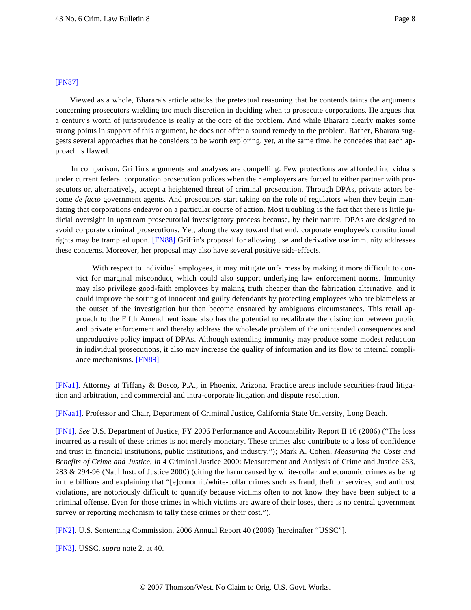## <span id="page-7-5"></span>[\[FN87\]](#page-12-6)

Viewed as a whole, Bharara's article attacks the pretextual reasoning that he contends taints the arguments concerning prosecutors wielding too much discretion in deciding when to prosecute corporations. He argues that a century's worth of jurisprudence is really at the core of the problem. And while Bharara clearly makes some strong points in support of this argument, he does not offer a sound remedy to the problem. Rather, Bharara suggests several approaches that he considers to be worth exploring, yet, at the same time, he concedes that each approach is flawed.

In comparison, Griffin's arguments and analyses are compelling. Few protections are afforded individuals under current federal corporation prosecution polices when their employers are forced to either partner with prosecutors or, alternatively, accept a heightened threat of criminal prosecution. Through DPAs, private actors become *de facto* government agents. And prosecutors start taking on the role of regulators when they begin mandating that corporations endeavor on a particular course of action. Most troubling is the fact that there is little judicial oversight in upstream prosecutorial investigatory process because, by their nature, DPAs are designed to avoid corporate criminal prosecutions. Yet, along the way toward that end, corporate employee's constitutional rights may be trampled upon. [\[FN88\]](#page-12-7) Griffin's proposal for allowing use and derivative use immunity addresses these concerns. Moreover, her proposal may also have several positive side-effects.

<span id="page-7-6"></span>With respect to individual employees, it may mitigate unfairness by making it more difficult to convict for marginal misconduct, which could also support underlying law enforcement norms. Immunity may also privilege good-faith employees by making truth cheaper than the fabrication alternative, and it could improve the sorting of innocent and guilty defendants by protecting employees who are blameless at the outset of the investigation but then become ensnared by ambiguous circumstances. This retail approach to the Fifth Amendment issue also has the potential to recalibrate the distinction between public and private enforcement and thereby address the wholesale problem of the unintended consequences and unproductive policy impact of DPAs. Although extending immunity may produce some modest reduction in individual prosecutions, it also may increase the quality of information and its flow to internal compliance mechanisms. [\[FN89\]](#page-12-8)

<span id="page-7-7"></span><span id="page-7-0"></span>[\[FNa1\].](#page-0-0) Attorney at Tiffany & Bosco, P.A., in Phoenix, Arizona. Practice areas include securities-fraud litigation and arbitration, and commercial and intra-corporate litigation and dispute resolution.

<span id="page-7-1"></span>[\[FNaa1\]](#page-0-0). Professor and Chair, Department of Criminal Justice, California State University, Long Beach.

<span id="page-7-2"></span>[\[FN1\]](#page-0-1). *See* U.S. Department of Justice, FY 2006 Performance and Accountability Report II 16 (2006) ("The loss incurred as a result of these crimes is not merely monetary. These crimes also contribute to a loss of confidence and trust in financial institutions, public institutions, and industry."); Mark A. Cohen, *Measuring the Costs and Benefits of Crime and Justice*, *in* 4 Criminal Justice 2000: Measurement and Analysis of Crime and Justice 263, 283 & 294-96 (Nat'l Inst. of Justice 2000) (citing the harm caused by white-collar and economic crimes as being in the billions and explaining that "[e]conomic/white-collar crimes such as fraud, theft or services, and antitrust violations, are notoriously difficult to quantify because victims often to not know they have been subject to a criminal offense. Even for those crimes in which victims are aware of their loses, there is no central government survey or reporting mechanism to tally these crimes or their cost.").

<span id="page-7-3"></span>[\[FN2\]](#page-0-2). U.S. Sentencing Commission, 2006 Annual Report 40 (2006) [hereinafter "USSC"].

<span id="page-7-4"></span>[\[FN3\]](#page-0-3). USSC, *supra* note 2, at 40.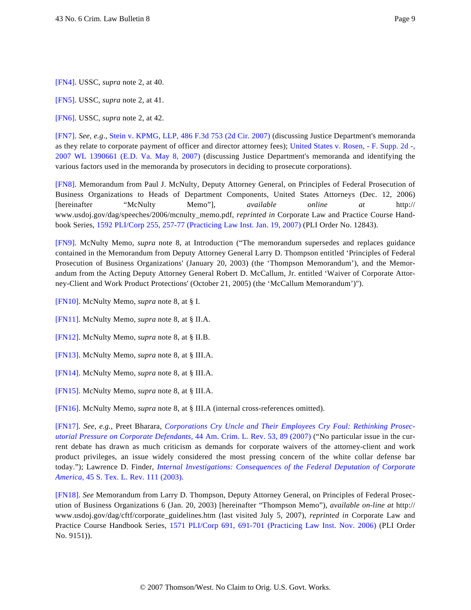<span id="page-8-0"></span>[\[FN4\]](#page-0-3). USSC, *supra* note 2, at 40.

<span id="page-8-1"></span>[\[FN5\]](#page-0-4). USSC, *supra* note 2, at 41.

<span id="page-8-2"></span>[\[FN6\]](#page-0-5). USSC, *supra* note 2, at 42.

<span id="page-8-3"></span>[\[FN7\]](#page-0-6). *See, e.g*., [Stein v. KPMG, LLP, 486 F.3d 753 \(2d Cir. 2007\)](http://www.westlaw.com/Find/Default.wl?rs=dfa1.0&vr=2.0&DB=506&FindType=Y&SerialNum=2012310685) (discussing Justice Department's memoranda as they relate to corporate payment of officer and director attorney fees); [United States v. Rosen, - F. Supp. 2d -,](http://www.westlaw.com/Find/Default.wl?rs=dfa1.0&vr=2.0&DB=0000999&FindType=Y&SerialNum=2012237746) [2007 WL 1390661 \(E.D. Va. May 8, 200](http://www.westlaw.com/Find/Default.wl?rs=dfa1.0&vr=2.0&DB=0000999&FindType=Y&SerialNum=2012237746)7) (discussing Justice Department's memoranda and identifying the various factors used in the memoranda by prosecutors in deciding to prosecute corporations).

<span id="page-8-4"></span>[\[FN8\]](#page-0-7). Memorandum from Paul J. McNulty, Deputy Attorney General, on Principles of Federal Prosecution of Business Organizations to Heads of Department Components, United States Attorneys (Dec. 12, 2006) [hereinafter "McNulty Memo"], *available online at* http:// www.usdoj.gov/dag/speeches/2006/mcnulty\_memo.pdf, *reprinted in* Corporate Law and Practice Course Handbook Series, [1592 PLI/Corp 255, 257-77 \(Practicing Law Inst. Jan. 19, 2007\)](http://www.westlaw.com/Find/Default.wl?rs=dfa1.0&vr=2.0&DB=100078&FindType=Y&ReferencePositionType=S&SerialNum=0330672532&ReferencePosition=257) (PLI Order No. 12843).

<span id="page-8-5"></span>[\[FN9\]](#page-0-7). McNulty Memo, *supra* note 8, at Introduction ("The memorandum supersedes and replaces guidance contained in the Memorandum from Deputy Attorney General Larry D. Thompson entitled 'Principles of Federal Prosecution of Business Organizations' (January 20, 2003) (the 'Thompson Memorandum'), and the Memorandum from the Acting Deputy Attorney General Robert D. McCallum, Jr. entitled 'Waiver of Corporate Attorney-Client and Work Product Protections' (October 21, 2005) (the 'McCallum Memorandum')'').

<span id="page-8-6"></span>[\[FN10\]](#page-0-8). McNulty Memo, *supra* note 8, at § I.

<span id="page-8-7"></span>[\[FN11\]](#page-0-9). McNulty Memo, *supra* note 8, at § II.A.

<span id="page-8-8"></span>[\[FN12\]](#page-0-10). McNulty Memo, *supra* note 8, at § II.B.

<span id="page-8-9"></span>[\[FN13\]](#page-1-0). McNulty Memo, *supra* note 8, at § III.A.

<span id="page-8-10"></span>[\[FN14\]](#page-1-1). McNulty Memo, *supra* note 8, at § III.A.

<span id="page-8-11"></span>[\[FN15\]](#page-1-2). McNulty Memo, *supra* note 8, at § III.A.

<span id="page-8-12"></span>[\[FN16\]](#page-1-3). McNulty Memo, *supra* note 8, at § III.A (internal cross-references omitted).

<span id="page-8-13"></span>[\[FN17\]](#page-1-4). *See, e.g.*, Preet Bharara, *[Corporations Cry Uncle and Their Employees Cry Foul: Rethinking Prose](http://www.westlaw.com/Find/Default.wl?rs=dfa1.0&vr=2.0&DB=1086&FindType=Y&ReferencePositionType=S&SerialNum=0331527950&ReferencePosition=89)c[utorial Pressure on Corporate Defendants](http://www.westlaw.com/Find/Default.wl?rs=dfa1.0&vr=2.0&DB=1086&FindType=Y&ReferencePositionType=S&SerialNum=0331527950&ReferencePosition=89)*[, 44 Am. Crim. L. Rev. 53, 89 \(2007](http://www.westlaw.com/Find/Default.wl?rs=dfa1.0&vr=2.0&DB=1086&FindType=Y&ReferencePositionType=S&SerialNum=0331527950&ReferencePosition=89)) ("No particular issue in the current debate has drawn as much criticism as demands for corporate waivers of the attorney-client and work product privileges, an issue widely considered the most pressing concern of the white collar defense bar today."); Lawrence D. Finder, *[Internal Investigations: Consequences of the Federal Deputation of Corpora](http://www.westlaw.com/Find/Default.wl?rs=dfa1.0&vr=2.0&DB=100490&FindType=Y&SerialNum=0297286761)te [America](http://www.westlaw.com/Find/Default.wl?rs=dfa1.0&vr=2.0&DB=100490&FindType=Y&SerialNum=0297286761)*[, 45 S. Tex. L. Rev. 111 \(2003\)](http://www.westlaw.com/Find/Default.wl?rs=dfa1.0&vr=2.0&DB=100490&FindType=Y&SerialNum=0297286761).

<span id="page-8-14"></span>[\[FN18\]](#page-1-5). *See* Memorandum from Larry D. Thompson, Deputy Attorney General, on Principles of Federal Prosecution of Business Organizations 6 (Jan. 20, 2003) [hereinafter "Thompson Memo"), *available on-line at* http:// www.usdoj.gov/dag/cftf/corporate\_guidelines.htm (last visited July 5, 2007), *reprinted in* Corporate Law and Practice Course Handbook Series, [1571 PLI/Corp 691, 691-701 \(Practicing Law Inst. Nov. 200](http://www.westlaw.com/Find/Default.wl?rs=dfa1.0&vr=2.0&DB=100078&FindType=Y&ReferencePositionType=S&SerialNum=0328599523&ReferencePosition=691)6) (PLI Order No. 9151)).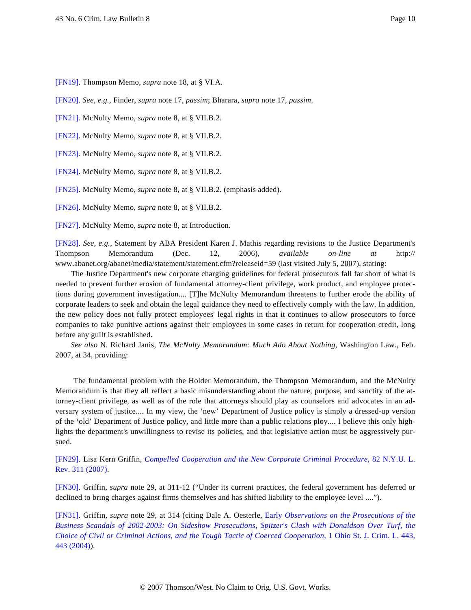<span id="page-9-0"></span>[\[FN19\]](#page-1-6). Thompson Memo, *supra* note 18, at § VI.A.

<span id="page-9-1"></span>[\[FN20\]](#page-1-7). *See, e.g.*, Finder, *supra* note 17, *passim*; Bharara, *supra* note 17, *passim*.

<span id="page-9-2"></span>[\[FN21\]](#page-1-8). McNulty Memo, *supra* note 8, at § VII.B.2.

<span id="page-9-3"></span>[\[FN22\]](#page-2-0). McNulty Memo, *supra* note 8, at § VII.B.2.

<span id="page-9-4"></span>[\[FN23\]](#page-2-1). McNulty Memo, *supra* note 8, at § VII.B.2.

<span id="page-9-5"></span>[\[FN24\]](#page-2-2). McNulty Memo, *supra* note 8, at § VII.B.2.

<span id="page-9-6"></span>[\[FN25\]](#page-2-3). McNulty Memo, *supra* note 8, at § VII.B.2. (emphasis added).

<span id="page-9-7"></span>[\[FN26\]](#page-2-4). McNulty Memo, *supra* note 8, at § VII.B.2.

<span id="page-9-8"></span>[\[FN27\]](#page-2-5). McNulty Memo, *supra* note 8, at Introduction.

<span id="page-9-9"></span>[\[FN28\]](#page-2-6). *See, e.g.*, Statement by ABA President Karen J. Mathis regarding revisions to the Justice Department's Thompson Memorandum (Dec. 12, 2006), *available on-line at* http:// www.abanet.org/abanet/media/statement/statement.cfm?releaseid=59 (last visited July 5, 2007), stating:

The Justice Department's new corporate charging guidelines for federal prosecutors fall far short of what is needed to prevent further erosion of fundamental attorney-client privilege, work product, and employee protections during government investigation.... [T]he McNulty Memorandum threatens to further erode the ability of corporate leaders to seek and obtain the legal guidance they need to effectively comply with the law. In addition, the new policy does not fully protect employees' legal rights in that it continues to allow prosecutors to force companies to take punitive actions against their employees in some cases in return for cooperation credit, long before any guilt is established.

*See also* N. Richard Janis, *The McNulty Memorandum: Much Ado About Nothing*, Washington Law., Feb. 2007, at 34, providing:

The fundamental problem with the Holder Memorandum, the Thompson Memorandum, and the McNulty Memorandum is that they all reflect a basic misunderstanding about the nature, purpose, and sanctity of the attorney-client privilege, as well as of the role that attorneys should play as counselors and advocates in an adversary system of justice.... In my view, the 'new' Department of Justice policy is simply a dressed-up version of the 'old' Department of Justice policy, and little more than a public relations ploy.... I believe this only highlights the department's unwillingness to revise its policies, and that legislative action must be aggressively pursued.

<span id="page-9-10"></span>[\[FN29\]](#page-2-7). Lisa Kern Griffin, *[Compelled Cooperation and the New Corporate Criminal Procedur](http://www.westlaw.com/Find/Default.wl?rs=dfa1.0&vr=2.0&DB=1206&FindType=Y&SerialNum=0331488956)e*[, 82 N.Y.U. L.](http://www.westlaw.com/Find/Default.wl?rs=dfa1.0&vr=2.0&DB=1206&FindType=Y&SerialNum=0331488956) [Rev. 311 \(2007\)](http://www.westlaw.com/Find/Default.wl?rs=dfa1.0&vr=2.0&DB=1206&FindType=Y&SerialNum=0331488956).

<span id="page-9-11"></span>[\[FN30\]](#page-2-8). Griffin, *supra* note 29, at 311-12 ("Under its current practices, the federal government has deferred or declined to bring charges against firms themselves and has shifted liability to the employee level ....").

<span id="page-9-12"></span>[\[FN31\]](#page-3-0). Griffin, *supra* note 29, at 314 (citing Dale A. Oesterle, [Early](http://www.westlaw.com/Find/Default.wl?rs=dfa1.0&vr=2.0&DB=167584&FindType=Y&SerialNum=0299558535) *[Observations on the Prosecutions of the](http://www.westlaw.com/Find/Default.wl?rs=dfa1.0&vr=2.0&DB=167584&FindType=Y&SerialNum=0299558535) [Business Scandals of 2002-2003: On Sideshow Prosecutions, Spitzer's Clash with Donaldson Over Turf](http://www.westlaw.com/Find/Default.wl?rs=dfa1.0&vr=2.0&DB=167584&FindType=Y&SerialNum=0299558535), the [Choice of Civil or Criminal Actions, and the Tough Tactic of Coerced Cooperatio](http://www.westlaw.com/Find/Default.wl?rs=dfa1.0&vr=2.0&DB=167584&FindType=Y&SerialNum=0299558535)n*[, 1 Ohio St. J. Crim. L. 443](http://www.westlaw.com/Find/Default.wl?rs=dfa1.0&vr=2.0&DB=167584&FindType=Y&SerialNum=0299558535), [443 \(2004\)](http://www.westlaw.com/Find/Default.wl?rs=dfa1.0&vr=2.0&DB=167584&FindType=Y&SerialNum=0299558535)).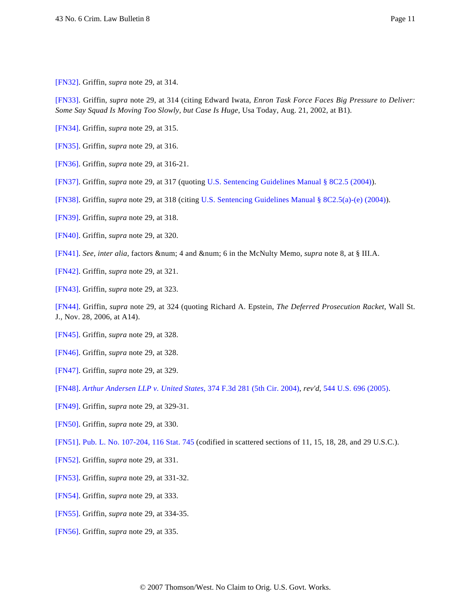<span id="page-10-0"></span>[\[FN32\]](#page-3-1). Griffin, *supra* note 29, at 314.

<span id="page-10-1"></span>[\[FN33\]](#page-3-2). Griffin, *supra* note 29, at 314 (citing Edward Iwata, *Enron Task Force Faces Big Pressure to Deliver: Some Say Squad Is Moving Too Slowly, but Case Is Huge*, Usa Today, Aug. 21, 2002, at B1).

- <span id="page-10-2"></span>[\[FN34\]](#page-3-3). Griffin, *supra* note 29, at 315.
- <span id="page-10-3"></span>[\[FN35\]](#page-3-4). Griffin, *supra* note 29, at 316.
- <span id="page-10-4"></span>[\[FN36\]](#page-3-5). Griffin, *supra* note 29, at 316-21.
- <span id="page-10-5"></span>[\[FN37\]](#page-3-6). Griffin, *supra* note 29, at 317 (quoting [U.S. Sentencing Guidelines Manual § 8C2.5 \(2004\)](http://www.westlaw.com/Find/Default.wl?rs=dfa1.0&vr=2.0&DB=1000546&DocName=FSGS8C2.5&FindType=L)).
- <span id="page-10-6"></span>[\[FN38\]](#page-3-7). Griffin, *supra* note 29, at 318 (citing [U.S. Sentencing Guidelines Manual § 8C2.5\(a\)-\(e\) \(2004\)](http://www.westlaw.com/Find/Default.wl?rs=dfa1.0&vr=2.0&DB=1000546&DocName=FSGS8C2.5&FindType=L)).
- <span id="page-10-7"></span>[\[FN39\]](#page-3-8). Griffin, *supra* note 29, at 318.
- <span id="page-10-8"></span>[\[FN40\]](#page-3-9). Griffin, *supra* note 29, at 320.
- <span id="page-10-9"></span>[\[FN41\]](#page-3-10). See, *inter alia*, factors & num; 4 and & num; 6 in the McNulty Memo, *supra* note 8, at § III.A.
- <span id="page-10-10"></span>[\[FN42\]](#page-3-11). Griffin, *supra* note 29, at 321.
- <span id="page-10-11"></span>[\[FN43\]](#page-3-12). Griffin, *supra* note 29, at 323.

<span id="page-10-12"></span>[\[FN44\]](#page-3-13). Griffin, *supra* note 29, at 324 (quoting Richard A. Epstein, *The Deferred Prosecution Racket*, Wall St. J., Nov. 28, 2006, at A14).

- <span id="page-10-13"></span>[\[FN45\]](#page-3-14). Griffin, *supra* note 29, at 328.
- <span id="page-10-14"></span>[\[FN46\]](#page-4-0). Griffin, *supra* note 29, at 328.
- <span id="page-10-15"></span>[\[FN47\]](#page-4-1). Griffin, *supra* note 29, at 329.

<span id="page-10-16"></span>[\[FN48\]](#page-4-2). *[Arthur Andersen LLP v. United States](http://www.westlaw.com/Find/Default.wl?rs=dfa1.0&vr=2.0&DB=506&FindType=Y&SerialNum=2004598488)*[, 374 F.3d 281 \(5th Cir. 2004\)](http://www.westlaw.com/Find/Default.wl?rs=dfa1.0&vr=2.0&DB=506&FindType=Y&SerialNum=2004598488), *rev'd*, [544 U.S. 696 \(2005\)](http://www.westlaw.com/Find/Default.wl?rs=dfa1.0&vr=2.0&DB=780&FindType=Y&SerialNum=2006700022).

- <span id="page-10-17"></span>[\[FN49\]](#page-4-3). Griffin, *supra* note 29, at 329-31.
- <span id="page-10-18"></span>[\[FN50\]](#page-4-4). Griffin, *supra* note 29, at 330.
- <span id="page-10-19"></span>[\[FN51\]](#page-4-4). [Pub. L. No. 107-204, 116 Stat. 745](http://www.westlaw.com/Find/Default.wl?rs=dfa1.0&vr=2.0&DB=1077005&DocName=UU%28I2BC0890B4D-9948AEBC90F-ACD2FCA8F3F%29&FindType=l) (codified in scattered sections of 11, 15, 18, 28, and 29 U.S.C.).
- <span id="page-10-20"></span>[\[FN52\]](#page-4-5). Griffin, *supra* note 29, at 331.
- <span id="page-10-21"></span>[\[FN53\]](#page-4-6). Griffin, *supra* note 29, at 331-32.
- <span id="page-10-22"></span>[\[FN54\]](#page-4-7). Griffin, *supra* note 29, at 333.
- <span id="page-10-23"></span>[\[FN55\]](#page-4-8). Griffin, *supra* note 29, at 334-35.
- <span id="page-10-24"></span>[\[FN56\]](#page-4-9). Griffin, *supra* note 29, at 335.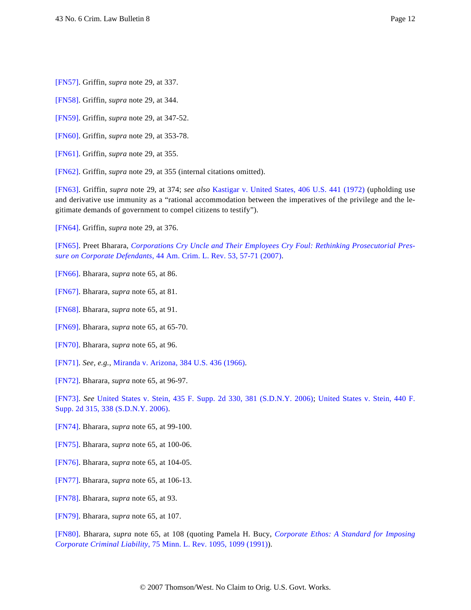<span id="page-11-0"></span>[\[FN57\]](#page-4-10). Griffin, *supra* note 29, at 337.

<span id="page-11-1"></span>[\[FN58\]](#page-4-11). Griffin, *supra* note 29, at 344.

<span id="page-11-2"></span>[\[FN59\]](#page-4-12). Griffin, *supra* note 29, at 347-52.

<span id="page-11-3"></span>[\[FN60\]](#page-4-13). Griffin, *supra* note 29, at 353-78.

- <span id="page-11-4"></span>[\[FN61\]](#page-4-14). Griffin, *supra* note 29, at 355.
- <span id="page-11-5"></span>[\[FN62\]](#page-5-0). Griffin, *supra* note 29, at 355 (internal citations omitted).

<span id="page-11-6"></span>[\[FN63\]](#page-5-1). Griffin, *supra* note 29, at 374; *see also* [Kastigar v. United States, 406 U.S. 441 \(1972](http://www.westlaw.com/Find/Default.wl?rs=dfa1.0&vr=2.0&DB=780&FindType=Y&SerialNum=1972127123)) (upholding use and derivative use immunity as a "rational accommodation between the imperatives of the privilege and the legitimate demands of government to compel citizens to testify").

<span id="page-11-7"></span>[\[FN64\]](#page-5-2). Griffin, *supra* note 29, at 376.

<span id="page-11-8"></span>[\[FN65\]](#page-5-3). Preet Bharara, *[Corporations Cry Uncle and Their Employees Cry Foul: Rethinking Prosecutorial Pres](http://www.westlaw.com/Find/Default.wl?rs=dfa1.0&vr=2.0&DB=1086&FindType=Y&ReferencePositionType=S&SerialNum=0331527950&ReferencePosition=57)[sure on Corporate Defendants](http://www.westlaw.com/Find/Default.wl?rs=dfa1.0&vr=2.0&DB=1086&FindType=Y&ReferencePositionType=S&SerialNum=0331527950&ReferencePosition=57)*[, 44 Am. Crim. L. Rev. 53, 57-71 \(2007\)](http://www.westlaw.com/Find/Default.wl?rs=dfa1.0&vr=2.0&DB=1086&FindType=Y&ReferencePositionType=S&SerialNum=0331527950&ReferencePosition=57).

- <span id="page-11-9"></span>[\[FN66\]](#page-5-4). Bharara, *supra* note 65, at 86.
- <span id="page-11-10"></span>[\[FN67\]](#page-5-5). Bharara, *supra* note 65, at 81.
- <span id="page-11-11"></span>[\[FN68\]](#page-5-6). Bharara, *supra* note 65, at 91.
- <span id="page-11-12"></span>[\[FN69\]](#page-5-7). Bharara, *supra* note 65, at 65-70.
- <span id="page-11-13"></span>[\[FN70\]](#page-5-8). Bharara, *supra* note 65, at 96.
- <span id="page-11-14"></span>[\[FN71\]](#page-5-9). *See, e.g.*, [Miranda v. Arizona, 384 U.S. 436 \(1966\)](http://www.westlaw.com/Find/Default.wl?rs=dfa1.0&vr=2.0&DB=780&FindType=Y&SerialNum=1966131580).
- <span id="page-11-15"></span>[\[FN72\]](#page-5-10). Bharara, *supra* note 65, at 96-97.

<span id="page-11-16"></span>[\[FN73\]](#page-5-11). *See* [United States v. Stein, 435 F. Supp. 2d 330, 381 \(S.D.N.Y. 200](http://www.westlaw.com/Find/Default.wl?rs=dfa1.0&vr=2.0&DB=4637&FindType=Y&ReferencePositionType=S&SerialNum=2009438804&ReferencePosition=381)6); [United States v. Stein, 440 F](http://www.westlaw.com/Find/Default.wl?rs=dfa1.0&vr=2.0&DB=4637&FindType=Y&ReferencePositionType=S&SerialNum=2009616854&ReferencePosition=338). [Supp. 2d 315, 338 \(S.D.N.Y. 2006\)](http://www.westlaw.com/Find/Default.wl?rs=dfa1.0&vr=2.0&DB=4637&FindType=Y&ReferencePositionType=S&SerialNum=2009616854&ReferencePosition=338).

- <span id="page-11-17"></span>[\[FN74\]](#page-6-0). Bharara, *supra* note 65, at 99-100.
- <span id="page-11-18"></span>[\[FN75\]](#page-6-1). Bharara, *supra* note 65, at 100-06.
- <span id="page-11-19"></span>[\[FN76\]](#page-6-2). Bharara, *supra* note 65, at 104-05.
- <span id="page-11-20"></span>[\[FN77\]](#page-6-3). Bharara, *supra* note 65, at 106-13.
- <span id="page-11-21"></span>[\[FN78\]](#page-6-4). Bharara, *supra* note 65, at 93.
- <span id="page-11-22"></span>[\[FN79\]](#page-6-5). Bharara, *supra* note 65, at 107.

<span id="page-11-23"></span>[\[FN80\]](#page-6-6). Bharara, *supra* note 65, at 108 (quoting Pamela H. Bucy, *[Corporate Ethos: A Standard for Imposing](http://www.westlaw.com/Find/Default.wl?rs=dfa1.0&vr=2.0&DB=1193&FindType=Y&ReferencePositionType=S&SerialNum=0100885450&ReferencePosition=1099) [Corporate Criminal Liability](http://www.westlaw.com/Find/Default.wl?rs=dfa1.0&vr=2.0&DB=1193&FindType=Y&ReferencePositionType=S&SerialNum=0100885450&ReferencePosition=1099)*[, 75 Minn. L. Rev. 1095, 1099 \(1991\)](http://www.westlaw.com/Find/Default.wl?rs=dfa1.0&vr=2.0&DB=1193&FindType=Y&ReferencePositionType=S&SerialNum=0100885450&ReferencePosition=1099)).